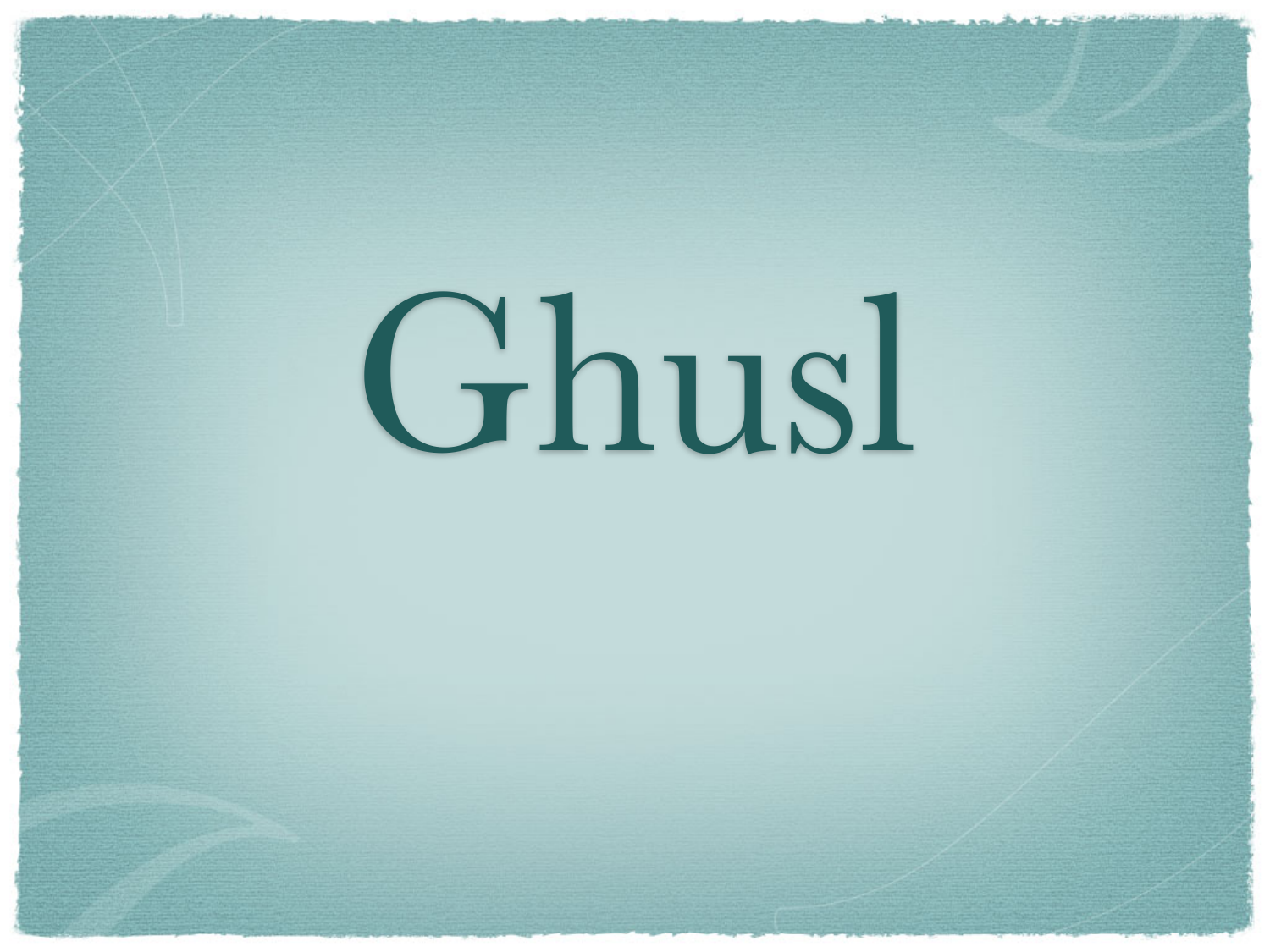# Ghusl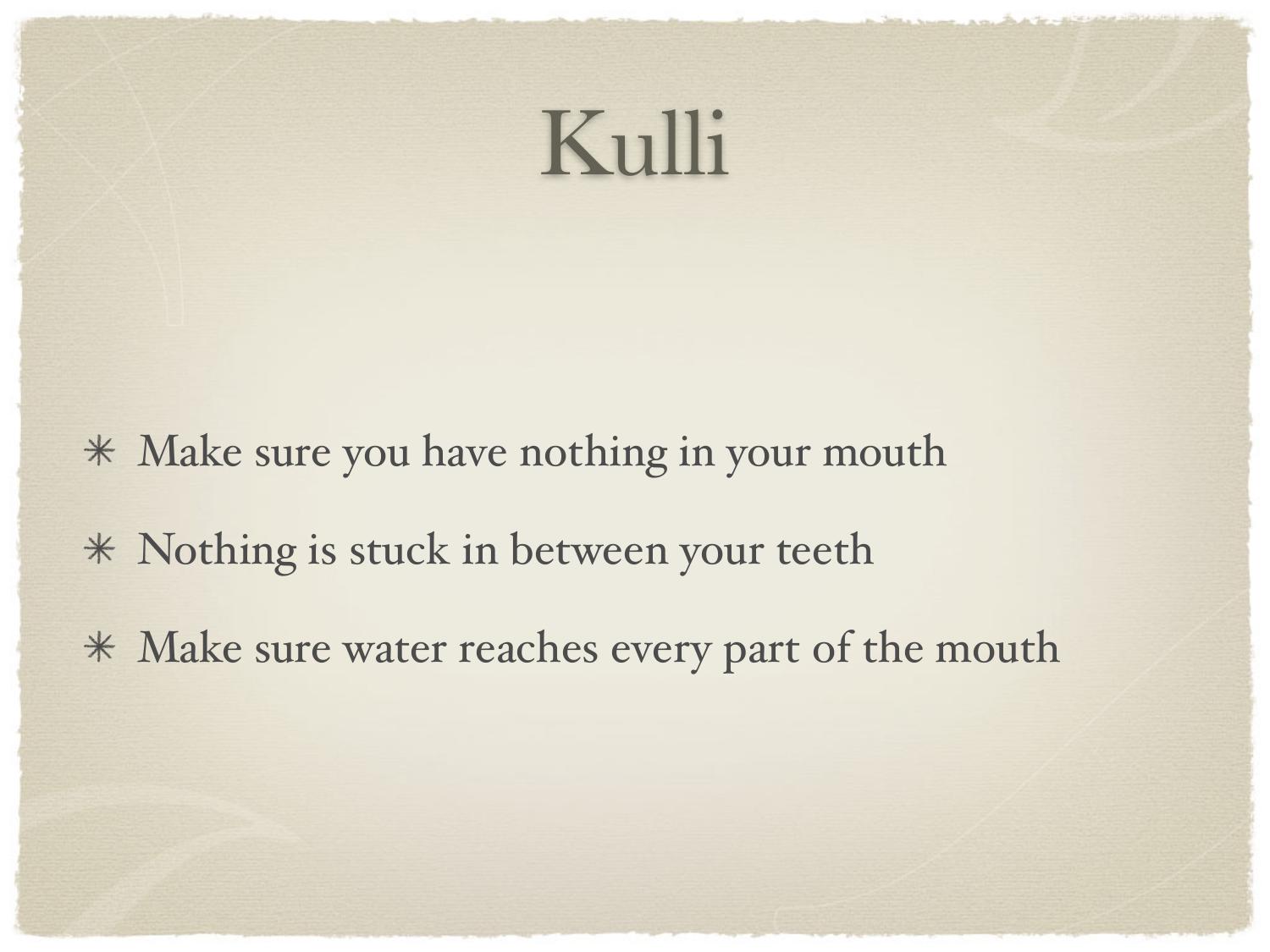#### Kulli

- Make sure you have nothing in your mouth
- Nothing is stuck in between your teeth
- Make sure water reaches every part of the mouth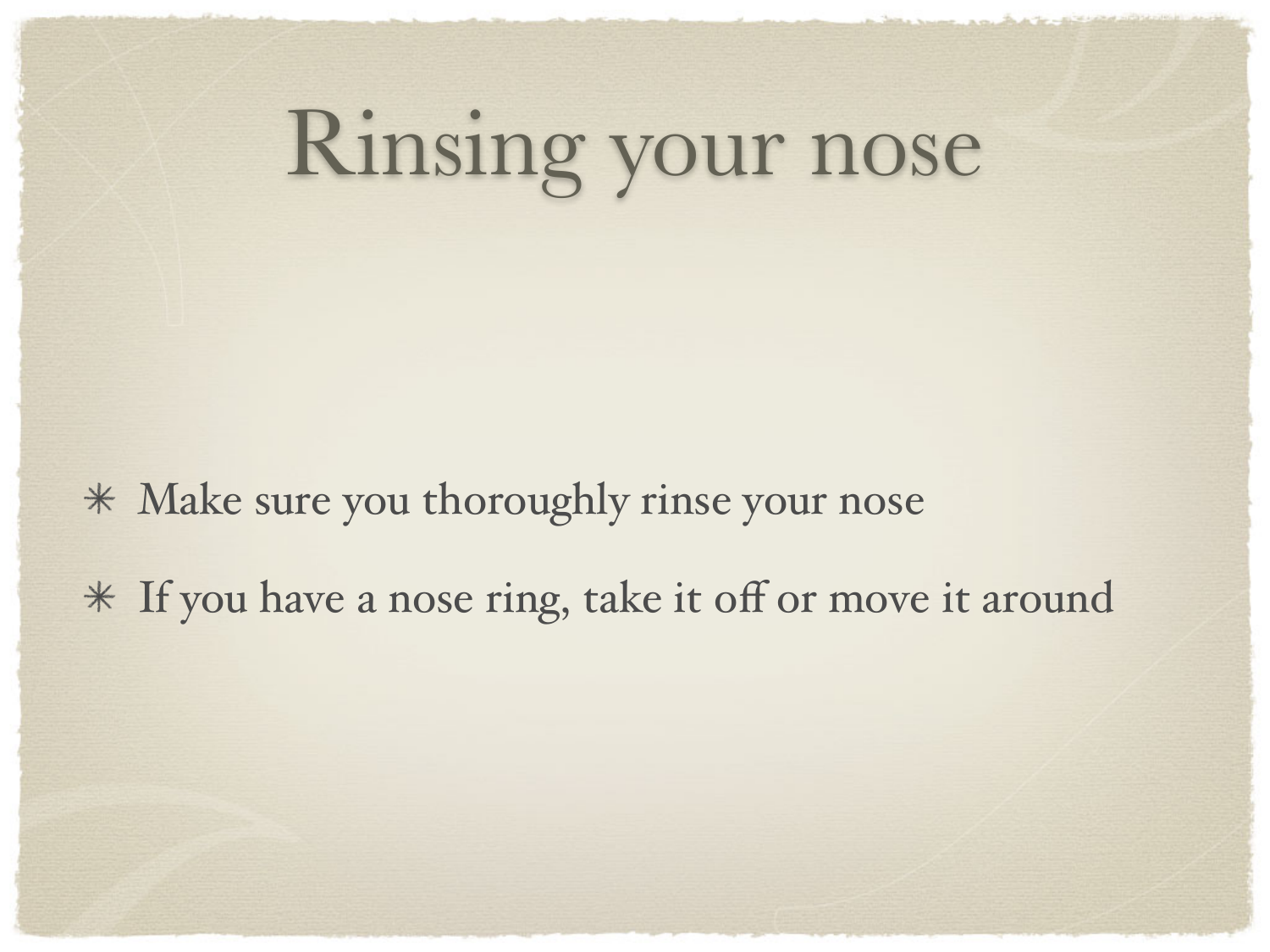### Rinsing your nose

Make sure you thoroughly rinse your nose

If you have a nose ring, take it off or move it around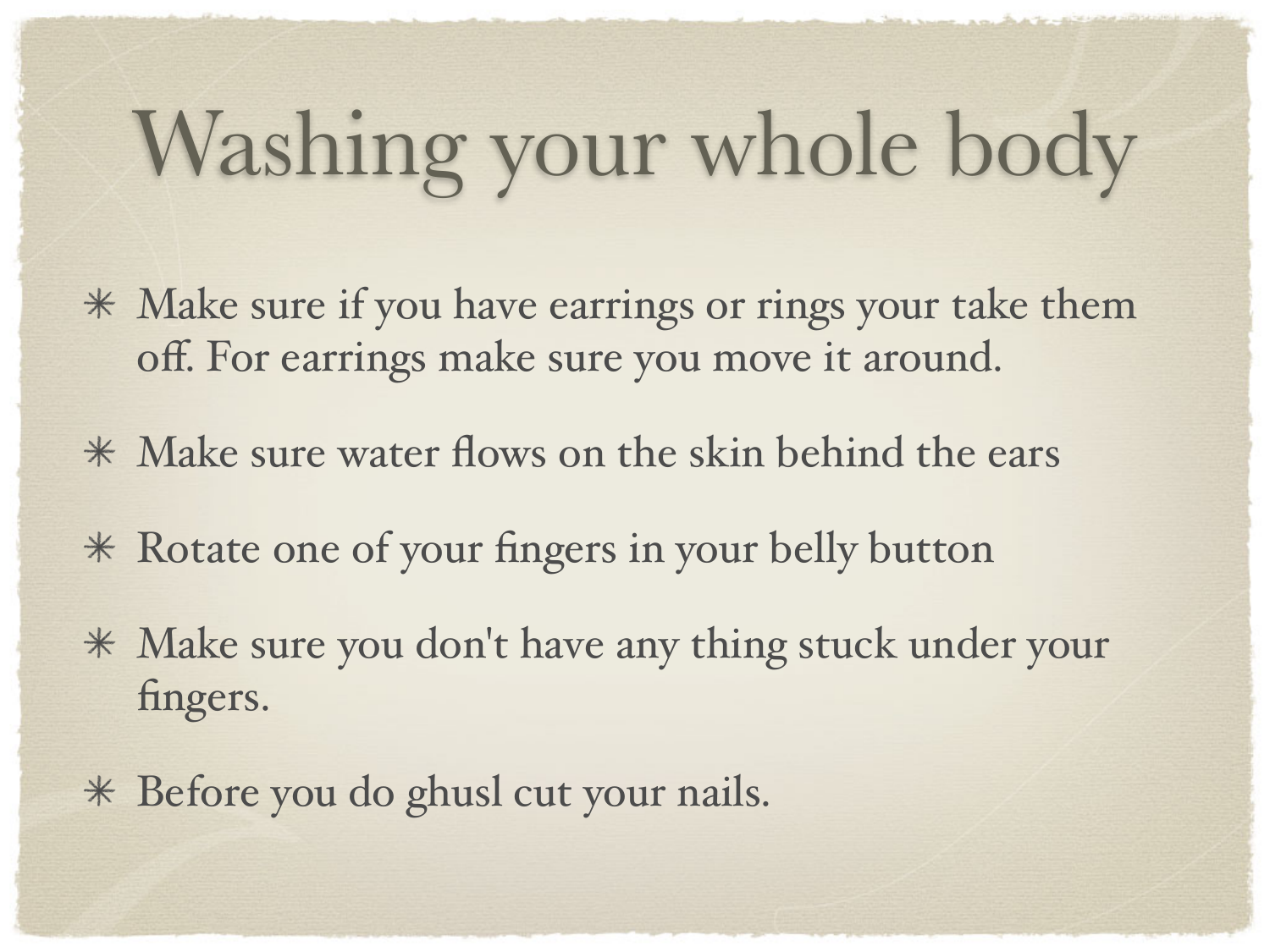# Washing your whole body

- Make sure if you have earrings or rings your take them off. For earrings make sure you move it around.
- Make sure water flows on the skin behind the ears
- Rotate one of your fingers in your belly button
- Make sure you don't have any thing stuck under your fingers.
- Before you do ghusl cut your nails.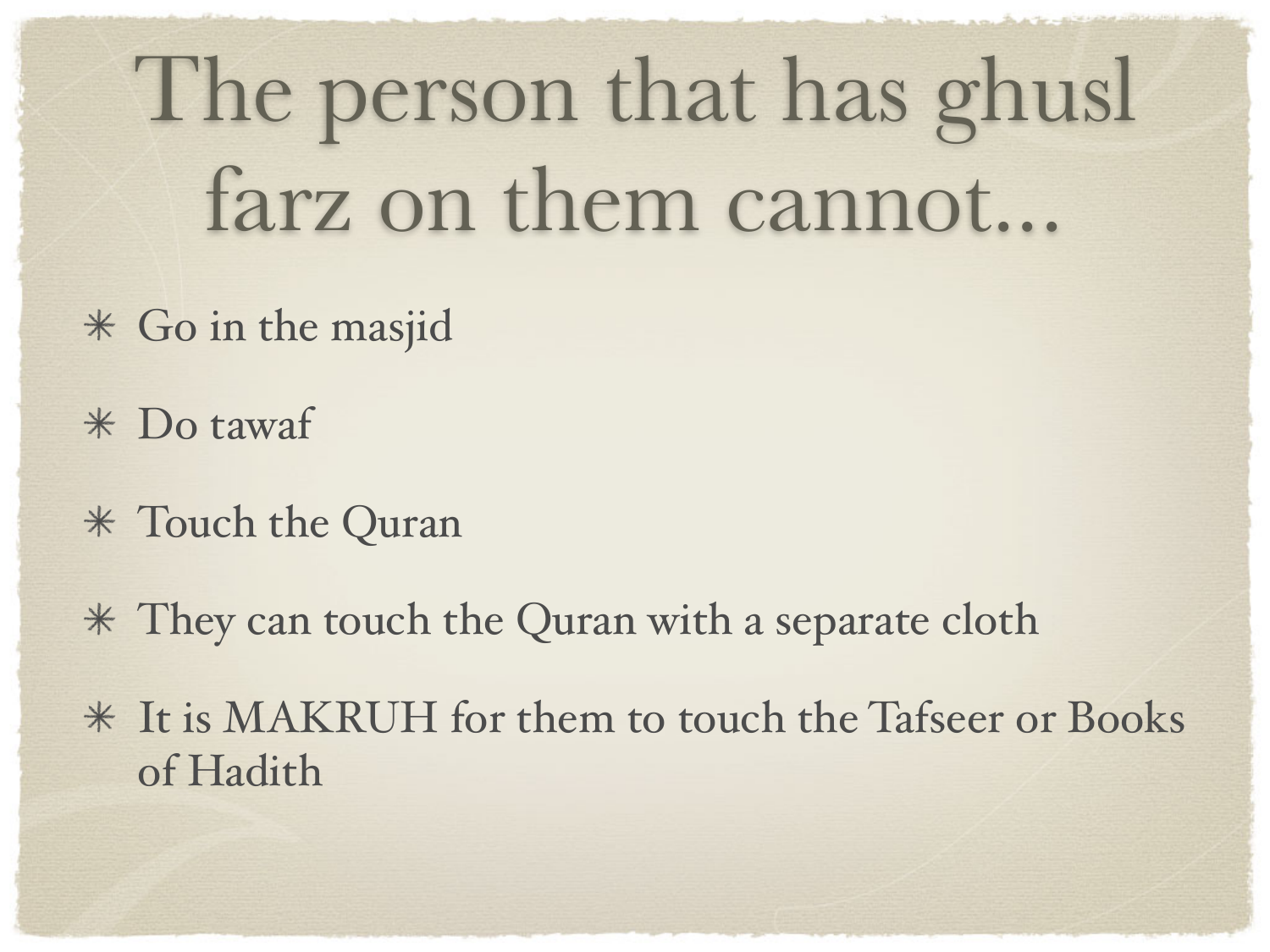The person that has ghusl farz on them cannot...

- Go in the masjid
- Do tawaf
- Touch the Quran
- They can touch the Quran with a separate cloth
- It is MAKRUH for them to touch the Tafseer or Books of Hadith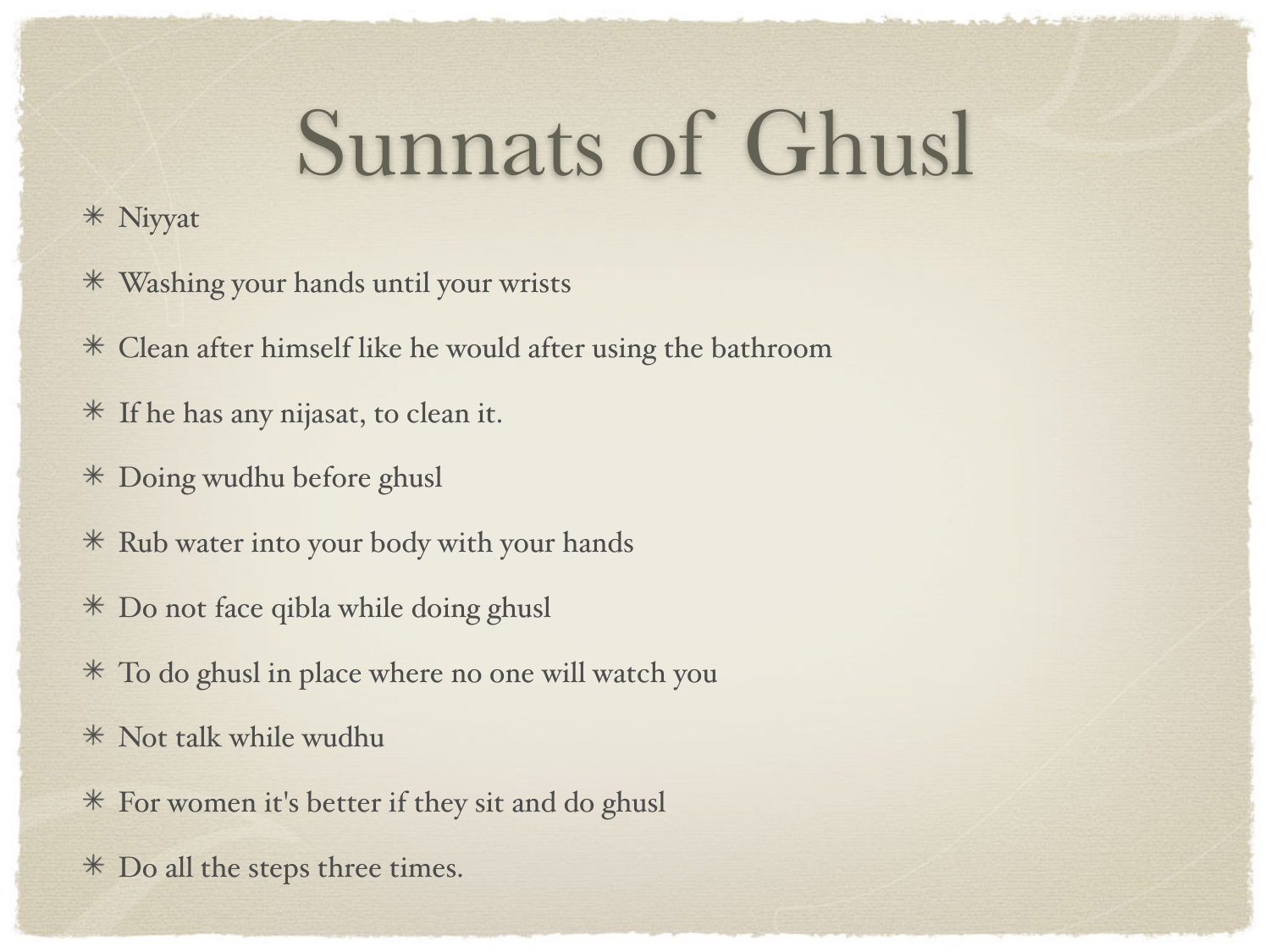#### Sunnats of Ghusl

#### Niyyat

- Washing your hands until your wrists
- Clean after himself like he would after using the bathroom
- If he has any nijasat, to clean it.
- Doing wudhu before ghusl
- Rub water into your body with your hands
- Do not face qibla while doing ghusl
- To do ghusl in place where no one will watch you
- Not talk while wudhu
- For women it's better if they sit and do ghusl
- Do all the steps three times.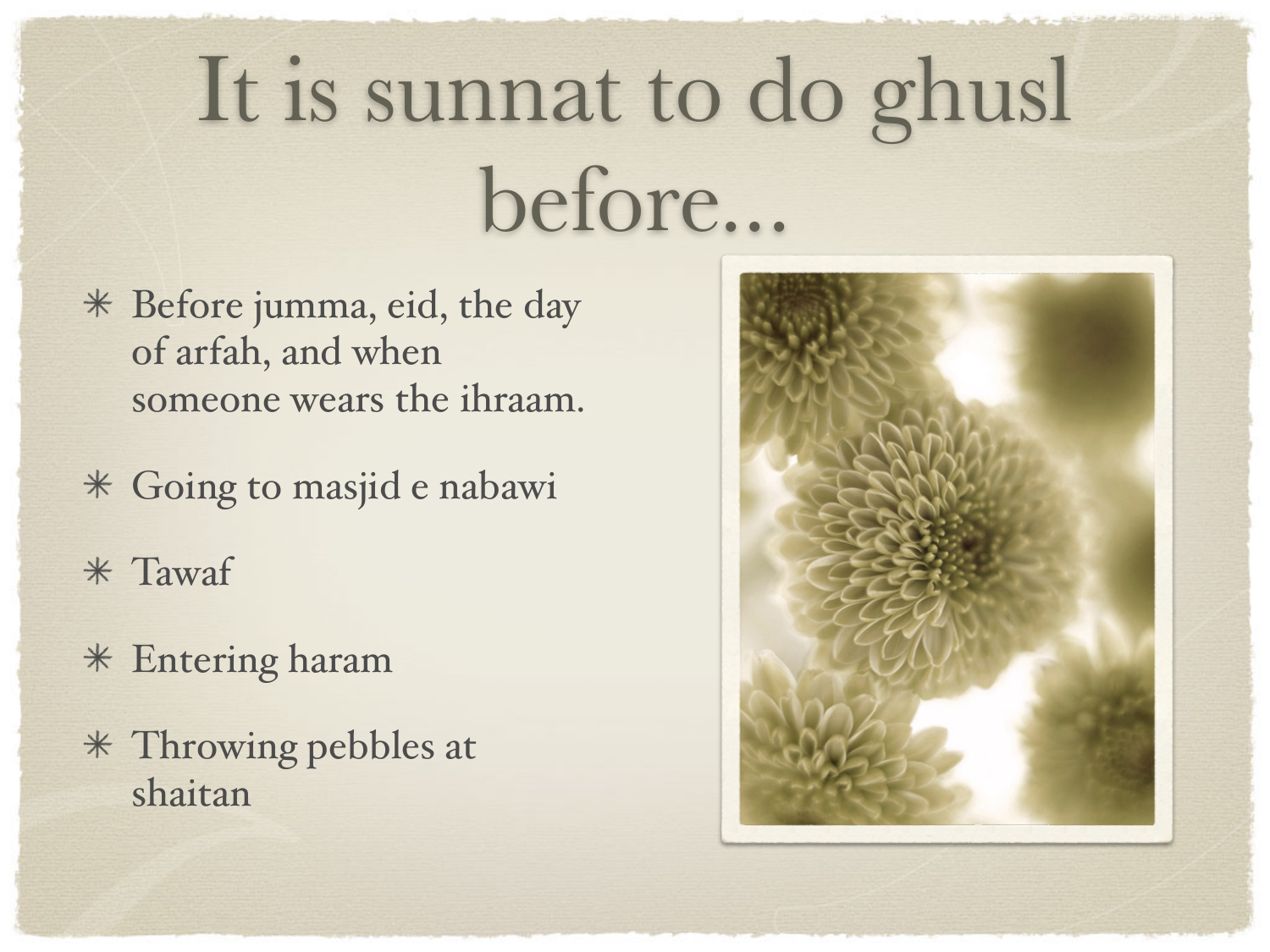## It is sunnat to do ghusl before...

- Before jumma, eid, the day of arfah, and when someone wears the ihraam.
- Going to masjid e nabawi
- Tawaf
- Entering haram
- Throwing pebbles at shaitan